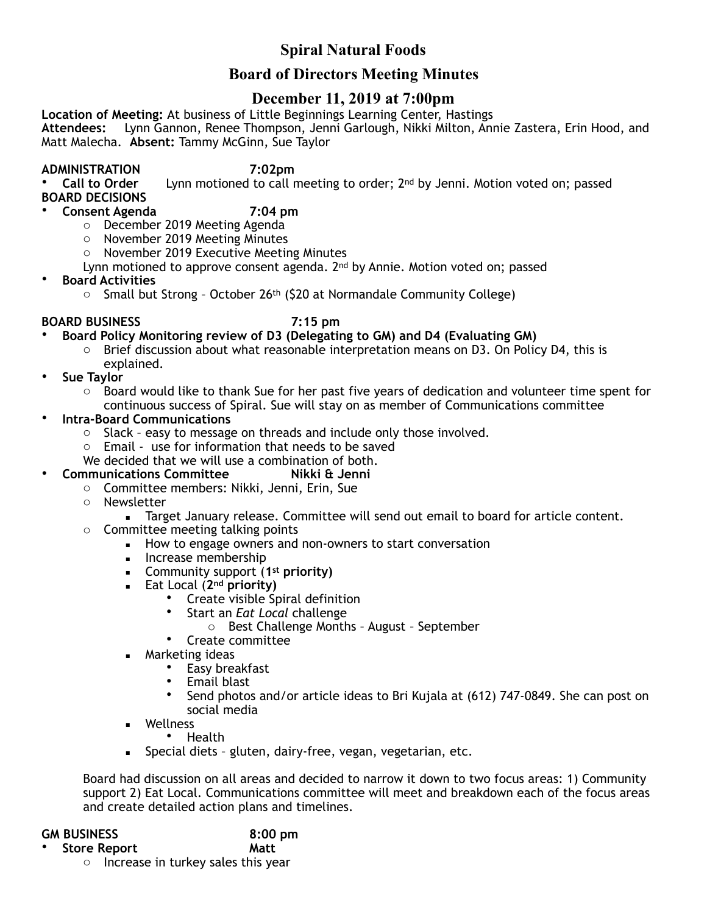# **Spiral Natural Foods**

## **Board of Directors Meeting Minutes**

## **December 11, 2019 at 7:00pm**

**Location of Meeting:** At business of Little Beginnings Learning Center, Hastings **Attendees:** Lynn Gannon, Renee Thompson, Jenni Garlough, Nikki Milton, Annie Zastera, Erin Hood, and Matt Malecha. **Absent:** Tammy McGinn, Sue Taylor

**ADMINISTRATION** 7:02pm<br>Call to Order lynn motioned to call n Lynn motioned to call meeting to order; 2<sup>nd</sup> by Jenni. Motion voted on; passed **BOARD DECISIONS** 

• **Consent Agenda 7:04 pm** 

- o December 2019 Meeting Agenda
- o November 2019 Meeting Minutes
- o November 2019 Executive Meeting Minutes
- Lynn motioned to approve consent agenda. 2<sup>nd</sup> by Annie. Motion voted on; passed
- **Board Activities**
	- $\circ$  Small but Strong October 26<sup>th</sup> (\$20 at Normandale Community College)

### **BOARD BUSINESS 7:15 pm**

- **Board Policy Monitoring review of D3 (Delegating to GM) and D4 (Evaluating GM)** 
	- Brief discussion about what reasonable interpretation means on D3. On Policy D4, this is explained.
- **Sue Taylor** 
	- o Board would like to thank Sue for her past five years of dedication and volunteer time spent for
	- continuous success of Spiral. Sue will stay on as member of Communications committee
- **Intra-Board Communications** 
	- o Slack easy to message on threads and include only those involved.
	- o Email use for information that needs to be saved
	- We decided that we will use a combination of both.
- **Communications Committee Nikki & Jenni**
	- o Committee members: Nikki, Jenni, Erin, Sue
		- o Newsletter
			- **EXECT** January release. Committee will send out email to board for article content.
		- o Committee meeting talking points
			- How to engage owners and non-owners to start conversation
				- **·** Increase membership
				- Community support (**1st priority)**
				- Eat Local (**2nd priority)** 
					- Create visible Spiral definition<br>• Start an *Fot Local challenge*
					- Start an *Eat Local* challenge
						- o Best Challenge Months August September
					- Create committee
				- **E** Marketing ideas
					- Easy breakfast
					- Email blast
					- Send photos and/or article ideas to Bri Kujala at (612) 747-0849. She can post on social media
				- **Wellness** 
					- Health
				- **EXECT** Special diets gluten, dairy-free, vegan, vegetarian, etc.

Board had discussion on all areas and decided to narrow it down to two focus areas: 1) Community support 2) Eat Local. Communications committee will meet and breakdown each of the focus areas and create detailed action plans and timelines.

| <b>GM BUSINESS</b>  | 8:00 |
|---------------------|------|
| <b>Store Report</b> | Matt |

**8:00 pm** 

o Increase in turkey sales this year